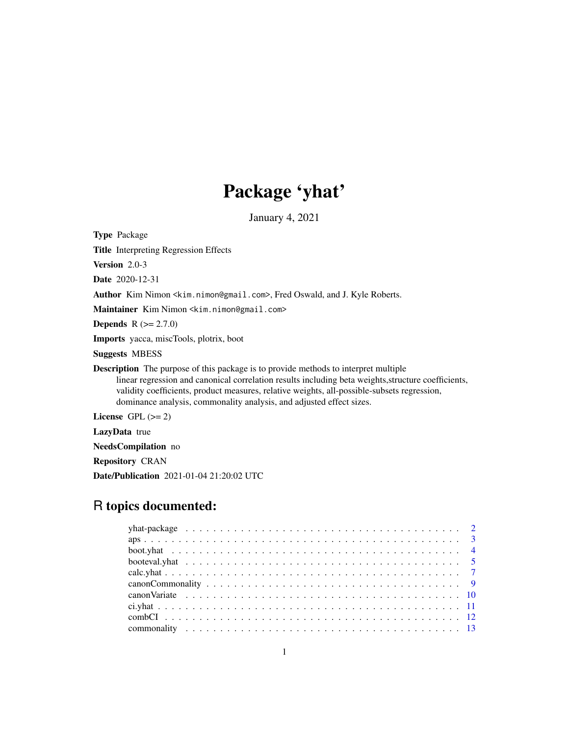# Package 'yhat'

January 4, 2021

<span id="page-0-0"></span>Type Package

Title Interpreting Regression Effects

Version 2.0-3

Date 2020-12-31

Author Kim Nimon <kim.nimon@gmail.com>, Fred Oswald, and J. Kyle Roberts.

Maintainer Kim Nimon <kim.nimon@gmail.com>

**Depends**  $R (= 2.7.0)$ 

Imports yacca, miscTools, plotrix, boot

Suggests MBESS

Description The purpose of this package is to provide methods to interpret multiple linear regression and canonical correlation results including beta weights,structure coefficients, validity coefficients, product measures, relative weights, all-possible-subsets regression, dominance analysis, commonality analysis, and adjusted effect sizes.

License GPL  $(>= 2)$ 

LazyData true

NeedsCompilation no

Repository CRAN

Date/Publication 2021-01-04 21:20:02 UTC

# R topics documented: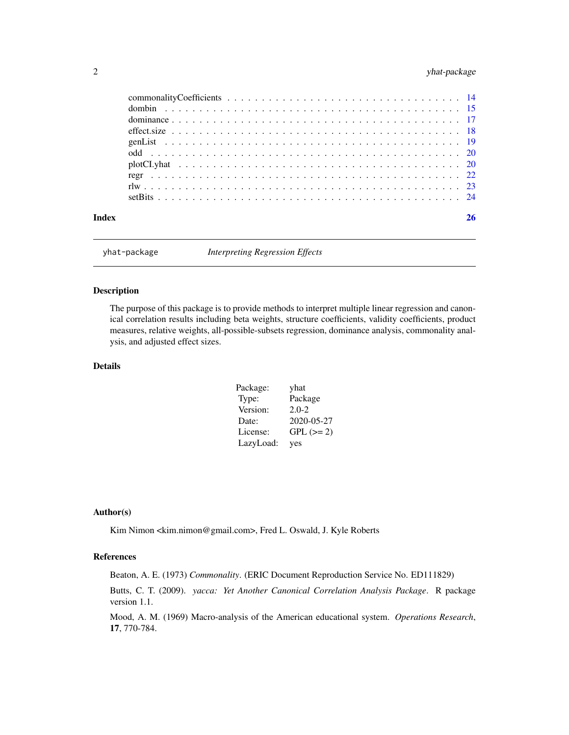# <span id="page-1-0"></span>2 yhat-package

| Index |  |
|-------|--|

yhat-package *Interpreting Regression Effects*

# <span id="page-1-1"></span>Description

The purpose of this package is to provide methods to interpret multiple linear regression and canonical correlation results including beta weights, structure coefficients, validity coefficients, product measures, relative weights, all-possible-subsets regression, dominance analysis, commonality analysis, and adjusted effect sizes.

# Details

| Package:  | yhat        |
|-----------|-------------|
| Type:     | Package     |
| Version:  | $2.0 - 2$   |
| Date:     | 2020-05-27  |
| License:  | $GPL (= 2)$ |
| LazyLoad: | yes         |

# Author(s)

Kim Nimon <kim.nimon@gmail.com>, Fred L. Oswald, J. Kyle Roberts

# References

Beaton, A. E. (1973) *Commonality*. (ERIC Document Reproduction Service No. ED111829)

Butts, C. T. (2009). *yacca: Yet Another Canonical Correlation Analysis Package*. R package version 1.1.

Mood, A. M. (1969) Macro-analysis of the American educational system. *Operations Research*, 17, 770-784.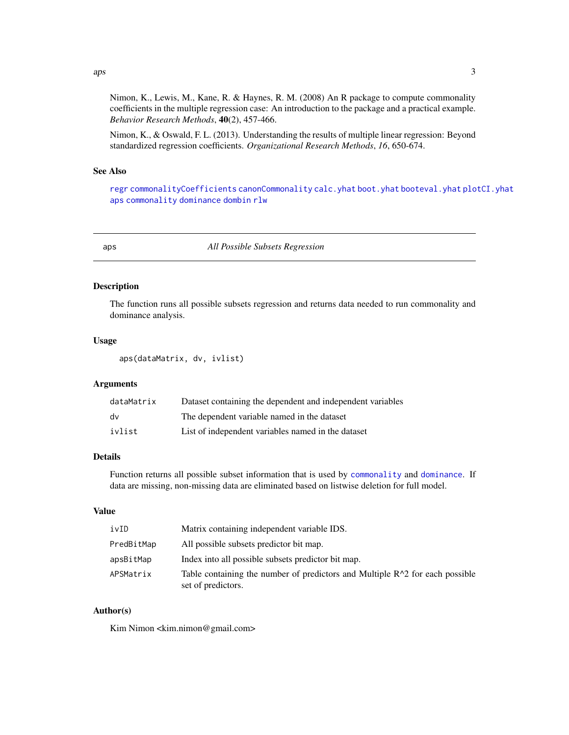<span id="page-2-0"></span> $aps$  3

Nimon, K., Lewis, M., Kane, R. & Haynes, R. M. (2008) An R package to compute commonality coefficients in the multiple regression case: An introduction to the package and a practical example. *Behavior Research Methods*, 40(2), 457-466.

Nimon, K., & Oswald, F. L. (2013). Understanding the results of multiple linear regression: Beyond standardized regression coefficients. *Organizational Research Methods*, *16*, 650-674.

#### See Also

[regr](#page-21-1) [commonalityCoefficients](#page-13-1) [canonCommonality](#page-8-1) [calc.yhat](#page-6-1) [boot.yhat](#page-3-1) [booteval.yhat](#page-4-1) [plotCI.yhat](#page-19-1) [aps](#page-2-1) [commonality](#page-12-1) [dominance](#page-16-1) [dombin](#page-14-1) [rlw](#page-22-1)

<span id="page-2-1"></span>aps *All Possible Subsets Regression*

#### Description

The function runs all possible subsets regression and returns data needed to run commonality and dominance analysis.

#### Usage

aps(dataMatrix, dv, ivlist)

#### Arguments

| dataMatrix | Dataset containing the dependent and independent variables |
|------------|------------------------------------------------------------|
| dv         | The dependent variable named in the dataset                |
| ivlist     | List of independent variables named in the dataset         |

# Details

Function returns all possible subset information that is used by [commonality](#page-12-1) and [dominance](#page-16-1). If data are missing, non-missing data are eliminated based on listwise deletion for full model.

# Value

| ivID       | Matrix containing independent variable IDS.                                                          |
|------------|------------------------------------------------------------------------------------------------------|
| PredBitMap | All possible subsets predictor bit map.                                                              |
| apsBitMap  | Index into all possible subsets predictor bit map.                                                   |
| APSMatrix  | Table containing the number of predictors and Multiple $R^2$ for each possible<br>set of predictors. |

# Author(s)

Kim Nimon <kim.nimon@gmail.com>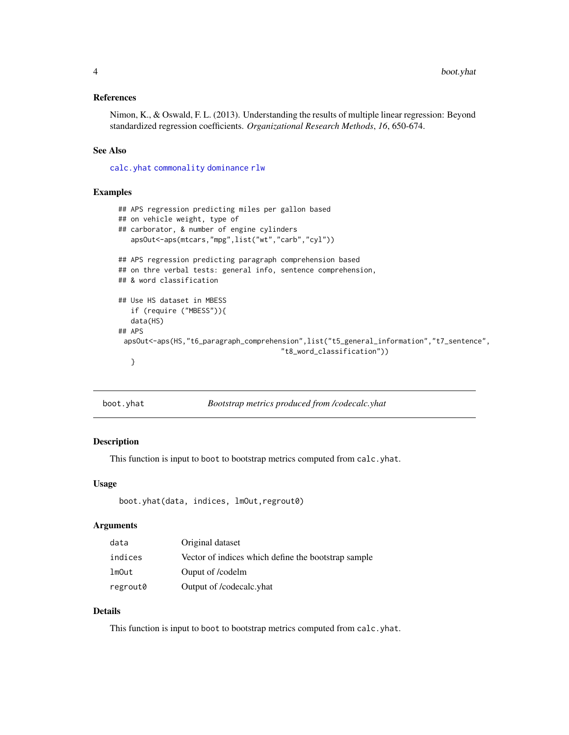#### <span id="page-3-0"></span>References

Nimon, K., & Oswald, F. L. (2013). Understanding the results of multiple linear regression: Beyond standardized regression coefficients. *Organizational Research Methods*, *16*, 650-674.

# See Also

[calc.yhat](#page-6-1) [commonality](#page-12-1) [dominance](#page-16-1) [rlw](#page-22-1)

#### Examples

```
## APS regression predicting miles per gallon based
## on vehicle weight, type of
## carborator, & number of engine cylinders
   apsOut<-aps(mtcars,"mpg",list("wt","carb","cyl"))
## APS regression predicting paragraph comprehension based
## on thre verbal tests: general info, sentence comprehension,
## & word classification
## Use HS dataset in MBESS
   if (require ("MBESS")){
   data(HS)
## APS
 apsOut<-aps(HS,"t6_paragraph_comprehension",list("t5_general_information","t7_sentence",
                                       "t8_word_classification"))
   }
```
<span id="page-3-1"></span>

| boot.yhat | Bootstrap metrics produced from /codecalc.yhat |
|-----------|------------------------------------------------|
|-----------|------------------------------------------------|

# Description

This function is input to boot to bootstrap metrics computed from calc.yhat.

#### Usage

```
boot.yhat(data, indices, lmOut,regrout0)
```
# Arguments

| data     | Original dataset                                    |
|----------|-----------------------------------------------------|
| indices  | Vector of indices which define the bootstrap sample |
| lmOut    | Ouput of /codelm                                    |
| regrout0 | Output of /codecalc.yhat                            |

# Details

This function is input to boot to bootstrap metrics computed from calc.yhat.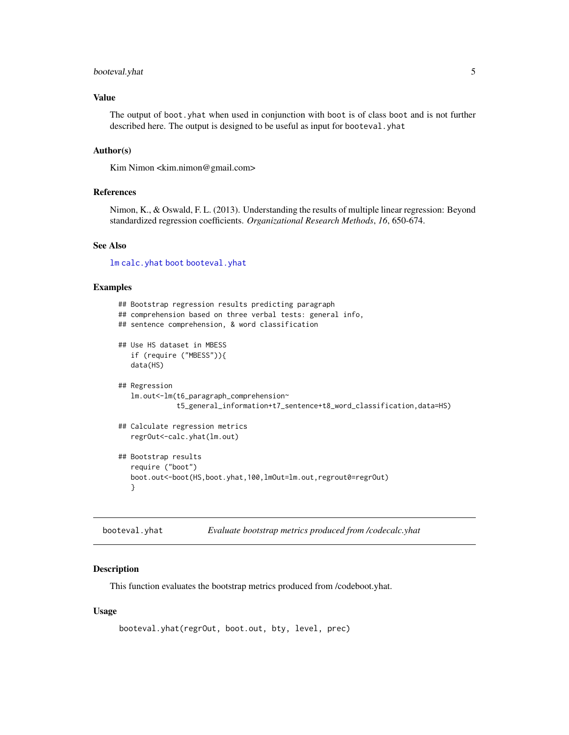# <span id="page-4-0"></span>booteval.yhat 5

# Value

The output of boot.yhat when used in conjunction with boot is of class boot and is not further described here. The output is designed to be useful as input for booteval. yhat

#### Author(s)

Kim Nimon <kim.nimon@gmail.com>

#### References

Nimon, K., & Oswald, F. L. (2013). Understanding the results of multiple linear regression: Beyond standardized regression coefficients. *Organizational Research Methods*, *16*, 650-674.

# See Also

[lm](#page-0-0) [calc.yhat](#page-6-1) [boot](#page-0-0) [booteval.yhat](#page-4-1)

#### Examples

```
## Bootstrap regression results predicting paragraph
## comprehension based on three verbal tests: general info,
## sentence comprehension, & word classification
## Use HS dataset in MBESS
   if (require ("MBESS")){
   data(HS)
## Regression
   lm.out<-lm(t6_paragraph_comprehension~
              t5_general_information+t7_sentence+t8_word_classification,data=HS)
## Calculate regression metrics
   regrOut<-calc.yhat(lm.out)
## Bootstrap results
   require ("boot")
   boot.out<-boot(HS,boot.yhat,100,lmOut=lm.out,regrout0=regrOut)
   }
```
<span id="page-4-1"></span>booteval.yhat *Evaluate bootstrap metrics produced from /codecalc.yhat*

# Description

This function evaluates the bootstrap metrics produced from /codeboot.yhat.

#### Usage

```
booteval.yhat(regrOut, boot.out, bty, level, prec)
```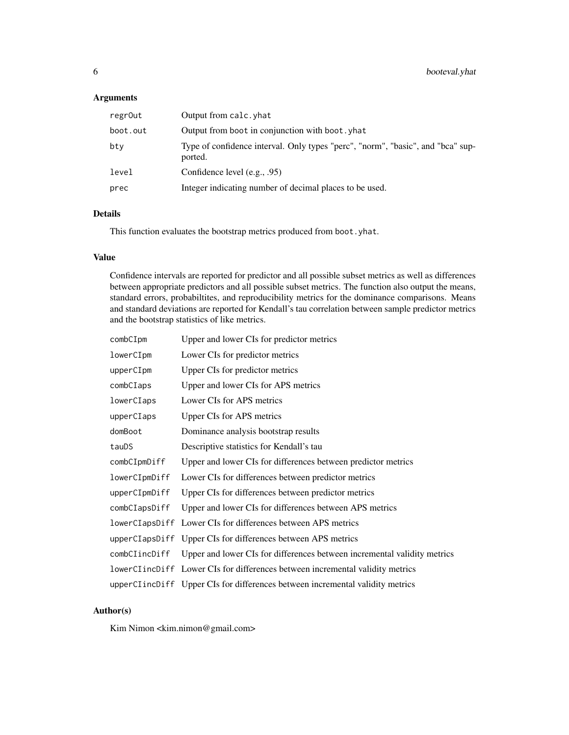# Arguments

| regrOut  | Output from calc. yhat                                                                     |
|----------|--------------------------------------------------------------------------------------------|
| boot.out | Output from boot in conjunction with boot, yhat                                            |
| bty      | Type of confidence interval. Only types "perc", "norm", "basic", and "bca" sup-<br>ported. |
| level    | Confidence level (e.g., .95)                                                               |
| prec     | Integer indicating number of decimal places to be used.                                    |

# Details

This function evaluates the bootstrap metrics produced from boot.yhat.

#### Value

Confidence intervals are reported for predictor and all possible subset metrics as well as differences between appropriate predictors and all possible subset metrics. The function also output the means, standard errors, probabiltites, and reproducibility metrics for the dominance comparisons. Means and standard deviations are reported for Kendall's tau correlation between sample predictor metrics and the bootstrap statistics of like metrics.

| combCIpm       | Upper and lower CIs for predictor metrics                                     |
|----------------|-------------------------------------------------------------------------------|
| lowerCIpm      | Lower CIs for predictor metrics                                               |
| upperCIpm      | Upper CIs for predictor metrics                                               |
| combCIaps      | Upper and lower CIs for APS metrics                                           |
| lowerCIaps     | Lower CIs for APS metrics                                                     |
| upperCIaps     | <b>Upper CIs for APS metrics</b>                                              |
| domBoot        | Dominance analysis bootstrap results                                          |
| tauDS          | Descriptive statistics for Kendall's tau                                      |
| combCIpmDiff   | Upper and lower CIs for differences between predictor metrics                 |
| lowerCIpmDiff  | Lower CIs for differences between predictor metrics                           |
| upperCIpmDiff  | Upper CIs for differences between predictor metrics                           |
| combCIapsDiff  | Upper and lower CIs for differences between APS metrics                       |
|                | lowerCIapsDiff Lower CIs for differences between APS metrics                  |
| upperCIapsDiff | Upper CIs for differences between APS metrics                                 |
| combCIincDiff  | Upper and lower CIs for differences between incremental validity metrics      |
|                | lowerCIincDiff Lower CIs for differences between incremental validity metrics |
|                | upperCIincDiff Upper CIs for differences between incremental validity metrics |

# Author(s)

Kim Nimon <kim.nimon@gmail.com>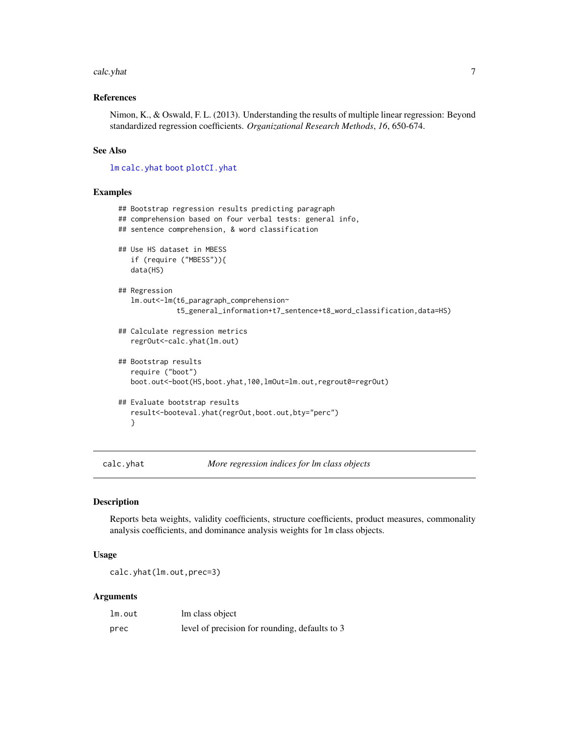#### <span id="page-6-0"></span>calc.yhat 7

# References

Nimon, K., & Oswald, F. L. (2013). Understanding the results of multiple linear regression: Beyond standardized regression coefficients. *Organizational Research Methods*, *16*, 650-674.

# See Also

[lm](#page-0-0) [calc.yhat](#page-6-1) [boot](#page-0-0) [plotCI.yhat](#page-19-1)

#### Examples

```
## Bootstrap regression results predicting paragraph
## comprehension based on four verbal tests: general info,
## sentence comprehension, & word classification
## Use HS dataset in MBESS
   if (require ("MBESS")){
   data(HS)
## Regression
   lm.out<-lm(t6_paragraph_comprehension~
              t5_general_information+t7_sentence+t8_word_classification,data=HS)
## Calculate regression metrics
   regrOut<-calc.yhat(lm.out)
## Bootstrap results
   require ("boot")
   boot.out<-boot(HS,boot.yhat,100,lmOut=lm.out,regrout0=regrOut)
## Evaluate bootstrap results
   result<-booteval.yhat(regrOut,boot.out,bty="perc")
   }
```
<span id="page-6-1"></span>calc.yhat *More regression indices for lm class objects*

#### Description

Reports beta weights, validity coefficients, structure coefficients, product measures, commonality analysis coefficients, and dominance analysis weights for lm class objects.

#### Usage

calc.yhat(lm.out,prec=3)

# Arguments

| lm.out | lm class object                                |
|--------|------------------------------------------------|
| prec   | level of precision for rounding, defaults to 3 |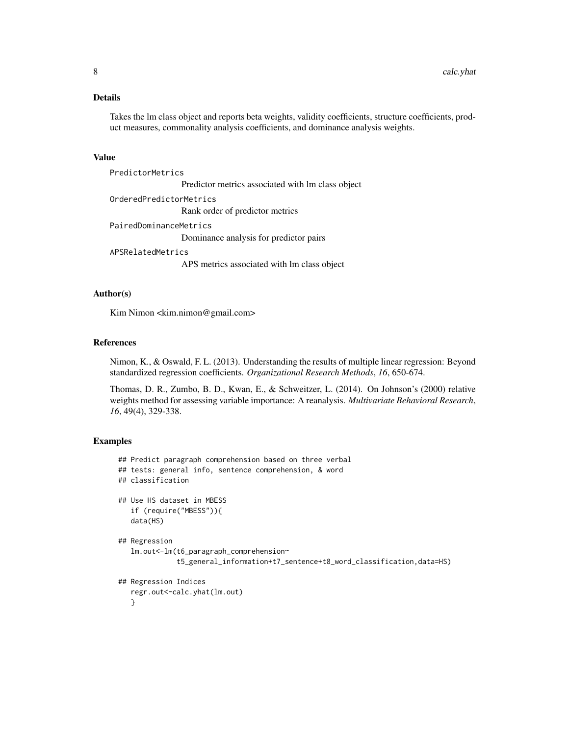# Details

Takes the lm class object and reports beta weights, validity coefficients, structure coefficients, product measures, commonality analysis coefficients, and dominance analysis weights.

#### Value

PredictorMetrics Predictor metrics associated with lm class object OrderedPredictorMetrics Rank order of predictor metrics PairedDominanceMetrics Dominance analysis for predictor pairs APSRelatedMetrics

APS metrics associated with lm class object

#### Author(s)

Kim Nimon <kim.nimon@gmail.com>

# References

Nimon, K., & Oswald, F. L. (2013). Understanding the results of multiple linear regression: Beyond standardized regression coefficients. *Organizational Research Methods*, *16*, 650-674.

Thomas, D. R., Zumbo, B. D., Kwan, E., & Schweitzer, L. (2014). On Johnson's (2000) relative weights method for assessing variable importance: A reanalysis. *Multivariate Behavioral Research*, *16*, 49(4), 329-338.

#### Examples

```
## Predict paragraph comprehension based on three verbal
## tests: general info, sentence comprehension, & word
## classification
## Use HS dataset in MBESS
   if (require("MBESS")){
   data(HS)
## Regression
   lm.out<-lm(t6_paragraph_comprehension~
              t5_general_information+t7_sentence+t8_word_classification,data=HS)
## Regression Indices
   regr.out<-calc.yhat(lm.out)
   }
```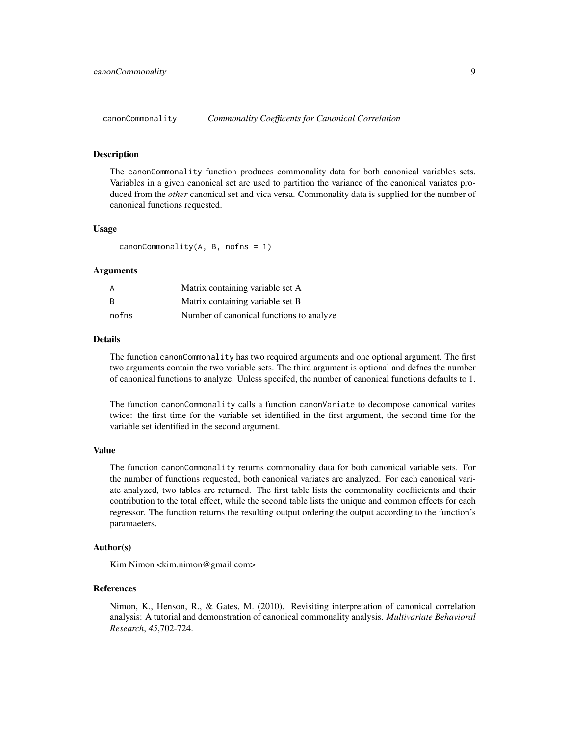<span id="page-8-1"></span><span id="page-8-0"></span>canonCommonality *Commonality Coefficents for Canonical Correlation*

#### **Description**

The canonCommonality function produces commonality data for both canonical variables sets. Variables in a given canonical set are used to partition the variance of the canonical variates produced from the *other* canonical set and vica versa. Commonality data is supplied for the number of canonical functions requested.

#### Usage

 $canonCommonality(A, B, nofns = 1)$ 

### Arguments

| A     | Matrix containing variable set A         |
|-------|------------------------------------------|
| B     | Matrix containing variable set B         |
| nofns | Number of canonical functions to analyze |

# Details

The function canonCommonality has two required arguments and one optional argument. The first two arguments contain the two variable sets. The third argument is optional and defnes the number of canonical functions to analyze. Unless specifed, the number of canonical functions defaults to 1.

The function canonCommonality calls a function canonVariate to decompose canonical varites twice: the first time for the variable set identified in the first argument, the second time for the variable set identified in the second argument.

#### Value

The function canonCommonality returns commonality data for both canonical variable sets. For the number of functions requested, both canonical variates are analyzed. For each canonical variate analyzed, two tables are returned. The first table lists the commonality coefficients and their contribution to the total effect, while the second table lists the unique and common effects for each regressor. The function returns the resulting output ordering the output according to the function's paramaeters.

#### Author(s)

Kim Nimon <kim.nimon@gmail.com>

#### References

Nimon, K., Henson, R., & Gates, M. (2010). Revisiting interpretation of canonical correlation analysis: A tutorial and demonstration of canonical commonality analysis. *Multivariate Behavioral Research*, *45*,702-724.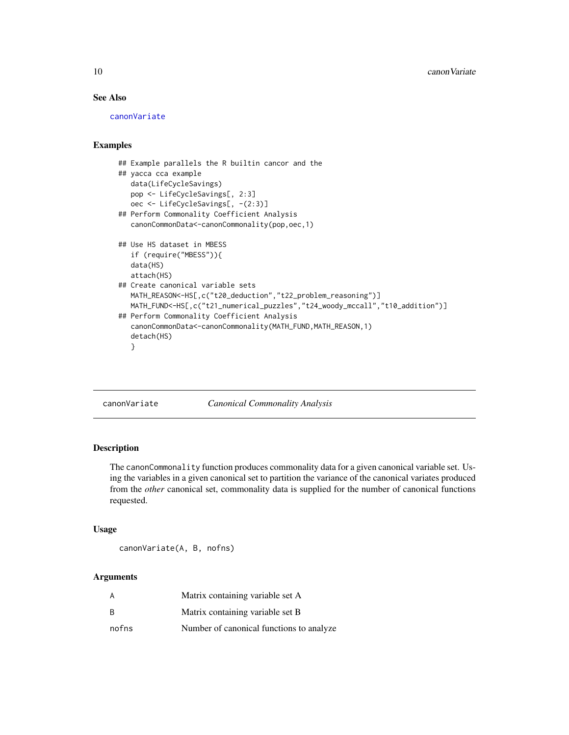# See Also

[canonVariate](#page-9-1)

# Examples

```
## Example parallels the R builtin cancor and the
## yacca cca example
   data(LifeCycleSavings)
   pop <- LifeCycleSavings[, 2:3]
   oec <- LifeCycleSavings[, -(2:3)]
## Perform Commonality Coefficient Analysis
   canonCommonData<-canonCommonality(pop,oec,1)
## Use HS dataset in MBESS
   if (require("MBESS")){
   data(HS)
   attach(HS)
## Create canonical variable sets
   MATH_REASON<-HS[,c("t20_deduction","t22_problem_reasoning")]
   MATH_FUND<-HS[,c("t21_numerical_puzzles","t24_woody_mccall","t10_addition")]
## Perform Commonality Coefficient Analysis
   canonCommonData<-canonCommonality(MATH_FUND,MATH_REASON,1)
   detach(HS)
   }
```
<span id="page-9-1"></span>canonVariate *Canonical Commonality Analysis*

#### Description

The canonCommonality function produces commonality data for a given canonical variable set. Using the variables in a given canonical set to partition the variance of the canonical variates produced from the *other* canonical set, commonality data is supplied for the number of canonical functions requested.

#### Usage

canonVariate(A, B, nofns)

# Arguments

| А     | Matrix containing variable set A         |
|-------|------------------------------------------|
| B     | Matrix containing variable set B         |
| nofns | Number of canonical functions to analyze |

<span id="page-9-0"></span>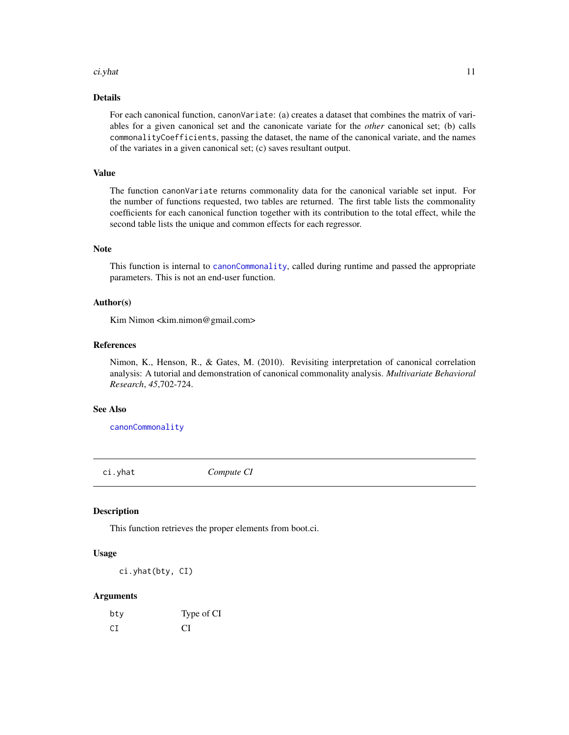#### <span id="page-10-0"></span>ci.yhat 11

# Details

For each canonical function, canonVariate: (a) creates a dataset that combines the matrix of variables for a given canonical set and the canonicate variate for the *other* canonical set; (b) calls commonalityCoefficients, passing the dataset, the name of the canonical variate, and the names of the variates in a given canonical set; (c) saves resultant output.

# Value

The function canonVariate returns commonality data for the canonical variable set input. For the number of functions requested, two tables are returned. The first table lists the commonality coefficients for each canonical function together with its contribution to the total effect, while the second table lists the unique and common effects for each regressor.

#### Note

This function is internal to [canonCommonality](#page-8-1), called during runtime and passed the appropriate parameters. This is not an end-user function.

# Author(s)

Kim Nimon <kim.nimon@gmail.com>

#### References

Nimon, K., Henson, R., & Gates, M. (2010). Revisiting interpretation of canonical correlation analysis: A tutorial and demonstration of canonical commonality analysis. *Multivariate Behavioral Research*, *45*,702-724.

# See Also

[canonCommonality](#page-8-1)

ci.yhat *Compute CI*

#### Description

This function retrieves the proper elements from boot.ci.

#### Usage

ci.yhat(bty, CI)

#### Arguments

| bty | Type of CI |
|-----|------------|
| СI  | СI         |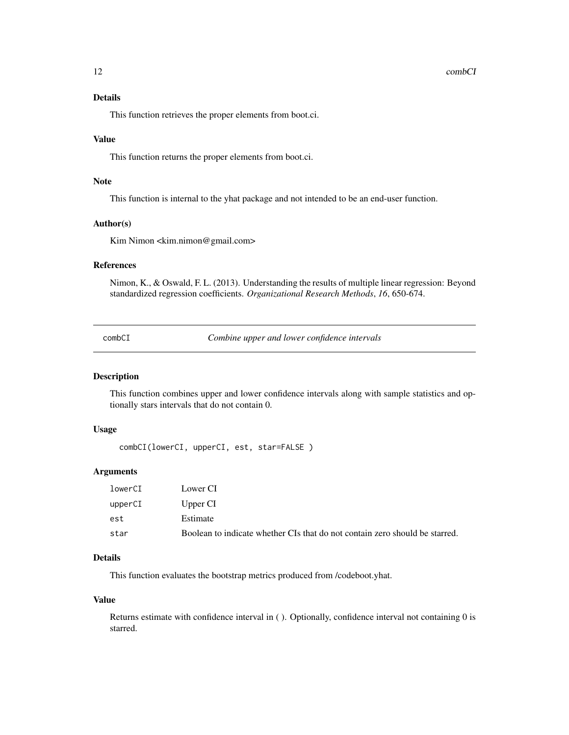#### <span id="page-11-0"></span>12 combCl

# Details

This function retrieves the proper elements from boot.ci.

#### Value

This function returns the proper elements from boot.ci.

#### Note

This function is internal to the yhat package and not intended to be an end-user function.

#### Author(s)

Kim Nimon <kim.nimon@gmail.com>

# References

Nimon, K., & Oswald, F. L. (2013). Understanding the results of multiple linear regression: Beyond standardized regression coefficients. *Organizational Research Methods*, *16*, 650-674.

combCI *Combine upper and lower confidence intervals*

#### Description

This function combines upper and lower confidence intervals along with sample statistics and optionally stars intervals that do not contain 0.

# Usage

combCI(lowerCI, upperCI, est, star=FALSE )

#### Arguments

| lowerCI | Lower CI                                                                    |
|---------|-----------------------------------------------------------------------------|
| upperCI | Upper CI                                                                    |
| est     | Estimate                                                                    |
| star    | Boolean to indicate whether CIs that do not contain zero should be starred. |

# Details

This function evaluates the bootstrap metrics produced from /codeboot.yhat.

#### Value

Returns estimate with confidence interval in ( ). Optionally, confidence interval not containing 0 is starred.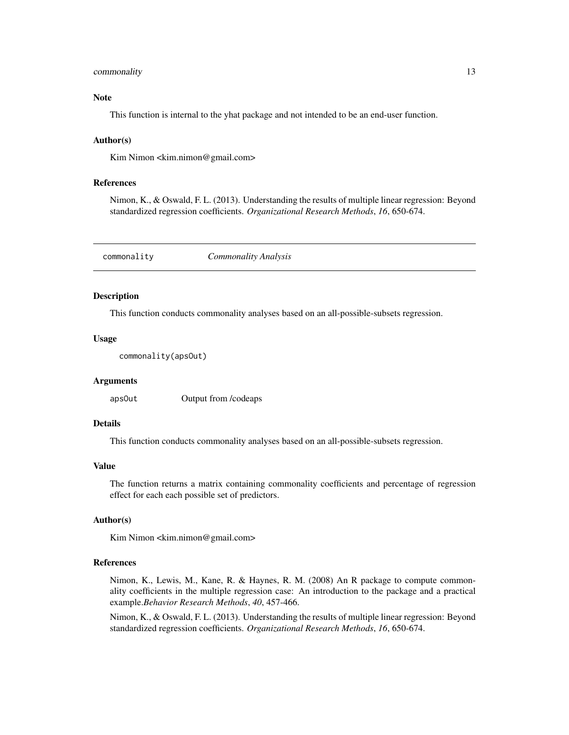#### <span id="page-12-0"></span>commonality and the common state of the common state of the common state of the common state of the common state of the common state of the common state of the common state of the common state of the common state of the co

#### Note

This function is internal to the yhat package and not intended to be an end-user function.

#### Author(s)

Kim Nimon <kim.nimon@gmail.com>

# References

Nimon, K., & Oswald, F. L. (2013). Understanding the results of multiple linear regression: Beyond standardized regression coefficients. *Organizational Research Methods*, *16*, 650-674.

<span id="page-12-1"></span>commonality *Commonality Analysis*

#### Description

This function conducts commonality analyses based on an all-possible-subsets regression.

#### Usage

```
commonality(apsOut)
```
#### Arguments

apsOut Output from /codeaps

#### Details

This function conducts commonality analyses based on an all-possible-subsets regression.

#### Value

The function returns a matrix containing commonality coefficients and percentage of regression effect for each each possible set of predictors.

# Author(s)

Kim Nimon <kim.nimon@gmail.com>

#### References

Nimon, K., Lewis, M., Kane, R. & Haynes, R. M. (2008) An R package to compute commonality coefficients in the multiple regression case: An introduction to the package and a practical example.*Behavior Research Methods*, *40*, 457-466.

Nimon, K., & Oswald, F. L. (2013). Understanding the results of multiple linear regression: Beyond standardized regression coefficients. *Organizational Research Methods*, *16*, 650-674.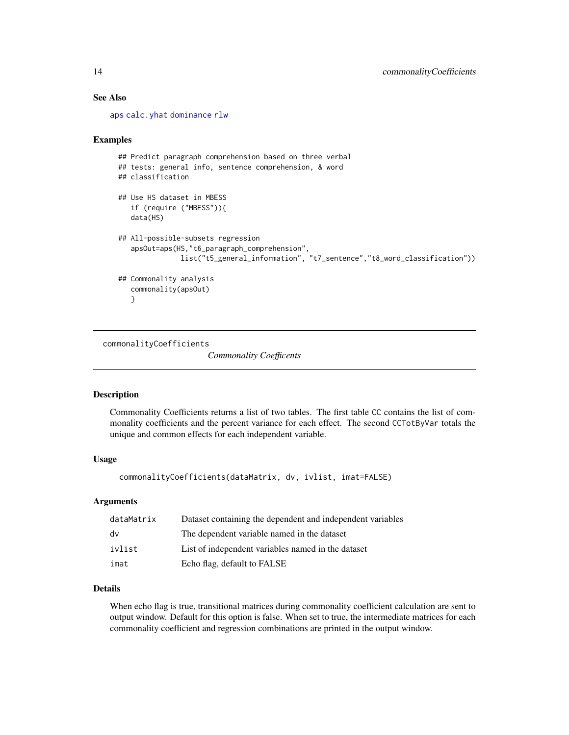# See Also

[aps](#page-2-1) [calc.yhat](#page-6-1) [dominance](#page-16-1) [rlw](#page-22-1)

#### Examples

```
## Predict paragraph comprehension based on three verbal
## tests: general info, sentence comprehension, & word
## classification
## Use HS dataset in MBESS
   if (require ("MBESS")){
   data(HS)
## All-possible-subsets regression
   apsOut=aps(HS,"t6_paragraph_comprehension",
               list("t5_general_information", "t7_sentence","t8_word_classification"))
## Commonality analysis
   commonality(apsOut)
   }
```
<span id="page-13-1"></span>commonalityCoefficients

*Commonality Coefficents*

#### Description

Commonality Coefficients returns a list of two tables. The first table CC contains the list of commonality coefficients and the percent variance for each effect. The second CCTotByVar totals the unique and common effects for each independent variable.

# Usage

commonalityCoefficients(dataMatrix, dv, ivlist, imat=FALSE)

#### Arguments

| dataMatrix | Dataset containing the dependent and independent variables |
|------------|------------------------------------------------------------|
| dv         | The dependent variable named in the dataset                |
| ivlist     | List of independent variables named in the dataset         |
| imat       | Echo flag, default to FALSE                                |

# Details

When echo flag is true, transitional matrices during commonality coefficient calculation are sent to output window. Default for this option is false. When set to true, the intermediate matrices for each commonality coefficient and regression combinations are printed in the output window.

<span id="page-13-0"></span>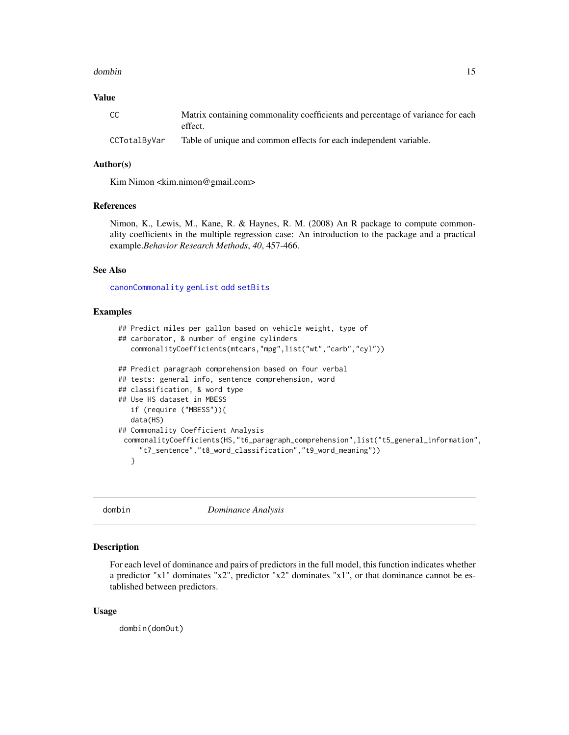#### <span id="page-14-0"></span>dombin the contract of the contract of the contract of the contract of the contract of the contract of the contract of the contract of the contract of the contract of the contract of the contract of the contract of the con

# Value

| CC.          | Matrix containing commonality coefficients and percentage of variance for each<br>effect. |
|--------------|-------------------------------------------------------------------------------------------|
| CCTotalByVar | Table of unique and common effects for each independent variable.                         |

# Author(s)

Kim Nimon <kim.nimon@gmail.com>

#### References

Nimon, K., Lewis, M., Kane, R. & Haynes, R. M. (2008) An R package to compute commonality coefficients in the multiple regression case: An introduction to the package and a practical example.*Behavior Research Methods*, *40*, 457-466.

#### See Also

[canonCommonality](#page-8-1) [genList](#page-18-1) [odd](#page-19-2) [setBits](#page-23-1)

# Examples

```
## Predict miles per gallon based on vehicle weight, type of
## carborator, & number of engine cylinders
   commonalityCoefficients(mtcars,"mpg",list("wt","carb","cyl"))
## Predict paragraph comprehension based on four verbal
## tests: general info, sentence comprehension, word
## classification, & word type
## Use HS dataset in MBESS
   if (require ("MBESS")){
   data(HS)
## Commonality Coefficient Analysis
 commonalityCoefficients(HS,"t6_paragraph_comprehension",list("t5_general_information",
     "t7_sentence","t8_word_classification","t9_word_meaning"))
   }
```
<span id="page-14-1"></span>dombin *Dominance Analysis*

#### Description

For each level of dominance and pairs of predictors in the full model, this function indicates whether a predictor "x1" dominates "x2", predictor "x2" dominates "x1", or that dominance cannot be established between predictors.

#### Usage

dombin(domOut)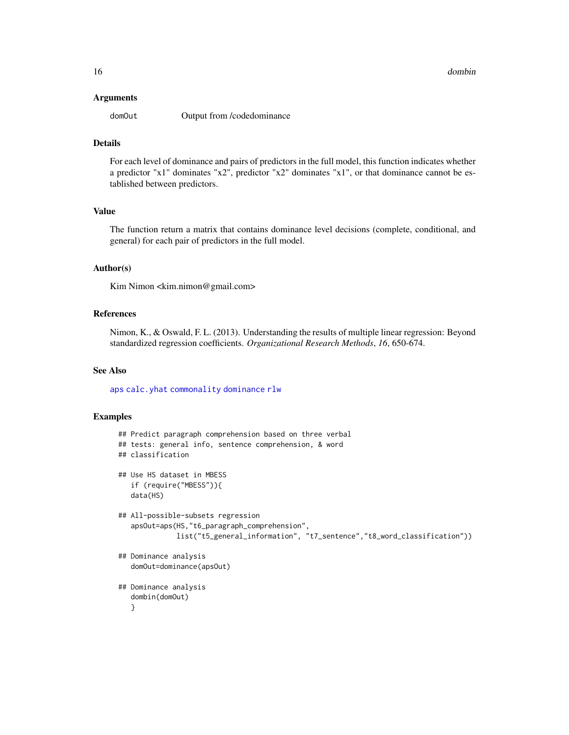#### <span id="page-15-0"></span>Arguments

domOut Output from /codedominance

# Details

For each level of dominance and pairs of predictors in the full model, this function indicates whether a predictor "x1" dominates "x2", predictor "x2" dominates "x1", or that dominance cannot be established between predictors.

#### Value

The function return a matrix that contains dominance level decisions (complete, conditional, and general) for each pair of predictors in the full model.

#### Author(s)

Kim Nimon <kim.nimon@gmail.com>

#### References

Nimon, K., & Oswald, F. L. (2013). Understanding the results of multiple linear regression: Beyond standardized regression coefficients. *Organizational Research Methods*, *16*, 650-674.

#### See Also

[aps](#page-2-1) [calc.yhat](#page-6-1) [commonality](#page-12-1) [dominance](#page-16-1) [rlw](#page-22-1)

#### Examples

```
## Predict paragraph comprehension based on three verbal
## tests: general info, sentence comprehension, & word
## classification
## Use HS dataset in MBESS
   if (require("MBESS")){
   data(HS)
## All-possible-subsets regression
   apsOut=aps(HS,"t6_paragraph_comprehension",
              list("t5_general_information", "t7_sentence","t8_word_classification"))
## Dominance analysis
   domOut=dominance(apsOut)
## Dominance analysis
   dombin(domOut)
   }
```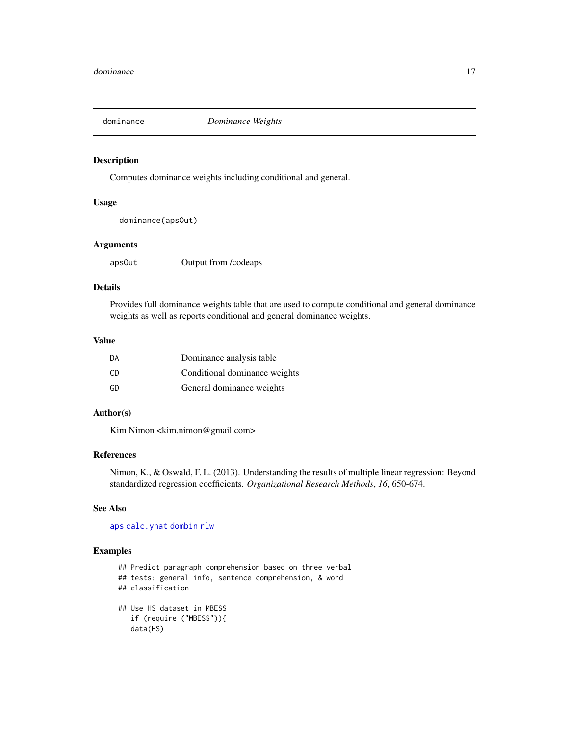<span id="page-16-1"></span><span id="page-16-0"></span>

# Description

Computes dominance weights including conditional and general.

#### Usage

dominance(apsOut)

# Arguments

apsOut Output from /codeaps

# Details

Provides full dominance weights table that are used to compute conditional and general dominance weights as well as reports conditional and general dominance weights.

### Value

| DA  | Dominance analysis table      |
|-----|-------------------------------|
| CD. | Conditional dominance weights |
| GD  | General dominance weights     |

# Author(s)

Kim Nimon <kim.nimon@gmail.com>

# References

Nimon, K., & Oswald, F. L. (2013). Understanding the results of multiple linear regression: Beyond standardized regression coefficients. *Organizational Research Methods*, *16*, 650-674.

# See Also

[aps](#page-2-1) [calc.yhat](#page-6-1) [dombin](#page-14-1) [rlw](#page-22-1)

# Examples

```
## Predict paragraph comprehension based on three verbal
## tests: general info, sentence comprehension, & word
## classification
## Use HS dataset in MBESS
   if (require ("MBESS")){
   data(HS)
```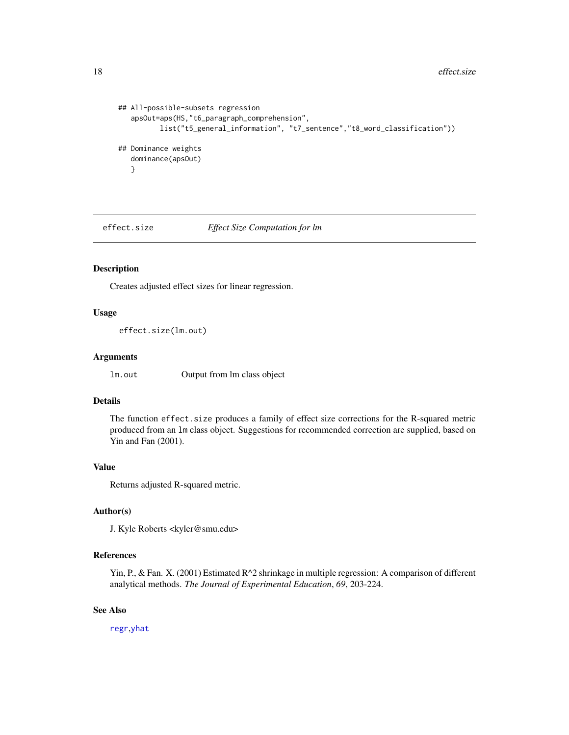```
## All-possible-subsets regression
   apsOut=aps(HS,"t6_paragraph_comprehension",
          list("t5_general_information", "t7_sentence","t8_word_classification"))
## Dominance weights
   dominance(apsOut)
   }
```
<span id="page-17-1"></span>effect.size *Effect Size Computation for lm*

#### Description

Creates adjusted effect sizes for linear regression.

# Usage

```
effect.size(lm.out)
```
# Arguments

lm.out Output from lm class object

# Details

The function effect.size produces a family of effect size corrections for the R-squared metric produced from an lm class object. Suggestions for recommended correction are supplied, based on Yin and Fan (2001).

# Value

Returns adjusted R-squared metric.

# Author(s)

J. Kyle Roberts <kyler@smu.edu>

# References

Yin, P., & Fan. X. (2001) Estimated  $R^2$  shrinkage in multiple regression: A comparison of different analytical methods. *The Journal of Experimental Education*, *69*, 203-224.

## See Also

[regr](#page-21-1),[yhat](#page-1-1)

<span id="page-17-0"></span>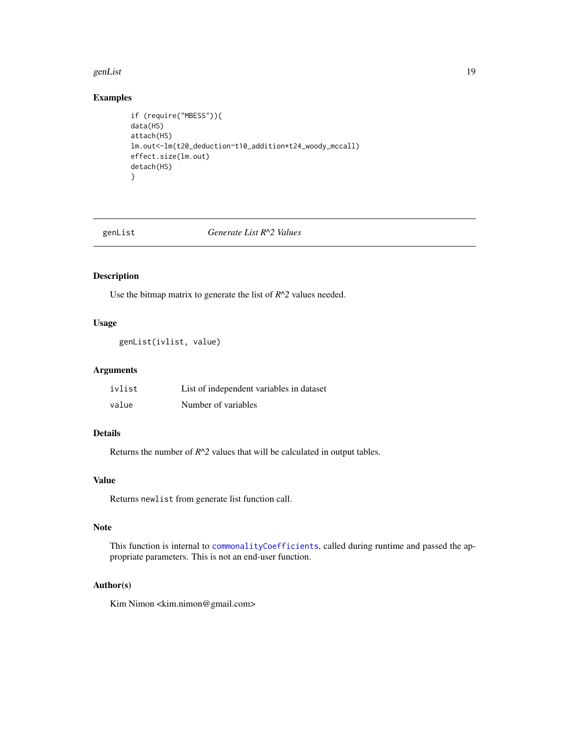#### <span id="page-18-0"></span>genList the state of the state of the state of the state of the state of the state of the state of the state of the state of the state of the state of the state of the state of the state of the state of the state of the st

# Examples

```
if (require("MBESS")){
data(HS)
attach(HS)
lm.out<-lm(t20_deduction~t10_addition*t24_woody_mccall)
effect.size(lm.out)
detach(HS)
}
```
<span id="page-18-1"></span>

#### genList *Generate List R^2 Values*

# Description

Use the bitmap matrix to generate the list of *R^2* values needed.

# Usage

```
genList(ivlist, value)
```
# Arguments

| ivlist | List of independent variables in dataset |
|--------|------------------------------------------|
| value  | Number of variables                      |

# Details

Returns the number of  $R^2$  values that will be calculated in output tables.

# Value

Returns newlist from generate list function call.

# Note

This function is internal to [commonalityCoefficients](#page-13-1), called during runtime and passed the appropriate parameters. This is not an end-user function.

#### Author(s)

Kim Nimon <kim.nimon@gmail.com>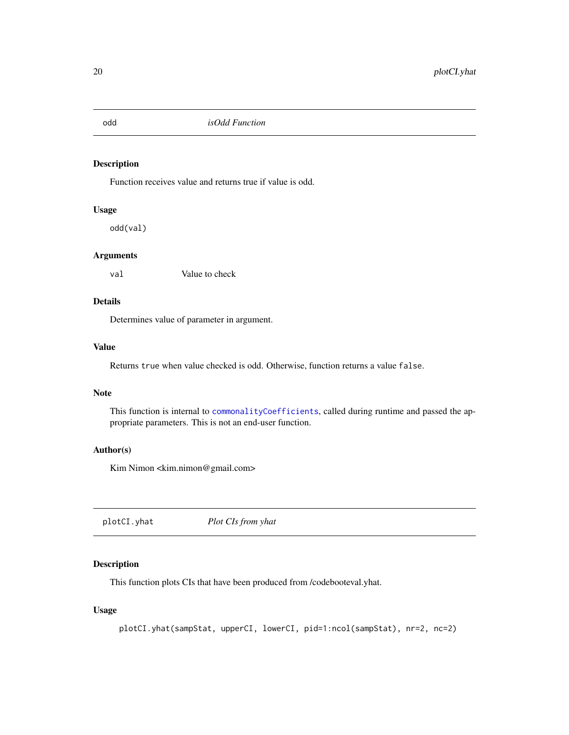<span id="page-19-2"></span><span id="page-19-0"></span>odd *isOdd Function*

# Description

Function receives value and returns true if value is odd.

#### Usage

odd(val)

# Arguments

val Value to check

# Details

Determines value of parameter in argument.

# Value

Returns true when value checked is odd. Otherwise, function returns a value false.

# Note

This function is internal to [commonalityCoefficients](#page-13-1), called during runtime and passed the appropriate parameters. This is not an end-user function.

#### Author(s)

Kim Nimon <kim.nimon@gmail.com>

<span id="page-19-1"></span>plotCI.yhat *Plot CIs from yhat*

# Description

This function plots CIs that have been produced from /codebooteval.yhat.

## Usage

plotCI.yhat(sampStat, upperCI, lowerCI, pid=1:ncol(sampStat), nr=2, nc=2)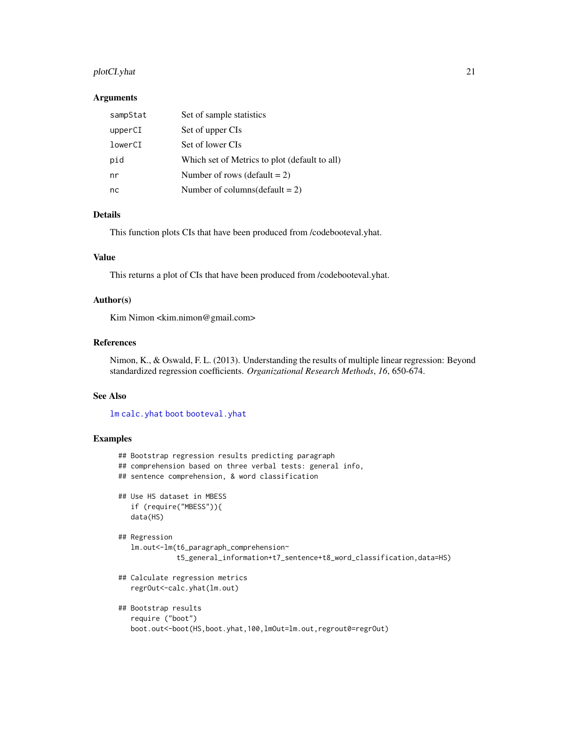# <span id="page-20-0"></span>plotCI.yhat 21

#### Arguments

| sampStat | Set of sample statistics                      |
|----------|-----------------------------------------------|
| upperCI  | Set of upper CIs                              |
| lowerCI  | Set of lower CIs                              |
| pid      | Which set of Metrics to plot (default to all) |
| nr       | Number of rows (default $= 2$ )               |
| nc       | Number of columns (default = 2)               |

# Details

This function plots CIs that have been produced from /codebooteval.yhat.

#### Value

This returns a plot of CIs that have been produced from /codebooteval.yhat.

#### Author(s)

Kim Nimon <kim.nimon@gmail.com>

# References

Nimon, K., & Oswald, F. L. (2013). Understanding the results of multiple linear regression: Beyond standardized regression coefficients. *Organizational Research Methods*, *16*, 650-674.

#### See Also

[lm](#page-0-0) [calc.yhat](#page-6-1) [boot](#page-0-0) [booteval.yhat](#page-4-1)

# Examples

```
## Bootstrap regression results predicting paragraph
## comprehension based on three verbal tests: general info,
## sentence comprehension, & word classification
## Use HS dataset in MBESS
   if (require("MBESS")){
   data(HS)
## Regression
   lm.out<-lm(t6_paragraph_comprehension~
              t5_general_information+t7_sentence+t8_word_classification,data=HS)
## Calculate regression metrics
   regrOut<-calc.yhat(lm.out)
## Bootstrap results
   require ("boot")
   boot.out<-boot(HS,boot.yhat,100,lmOut=lm.out,regrout0=regrOut)
```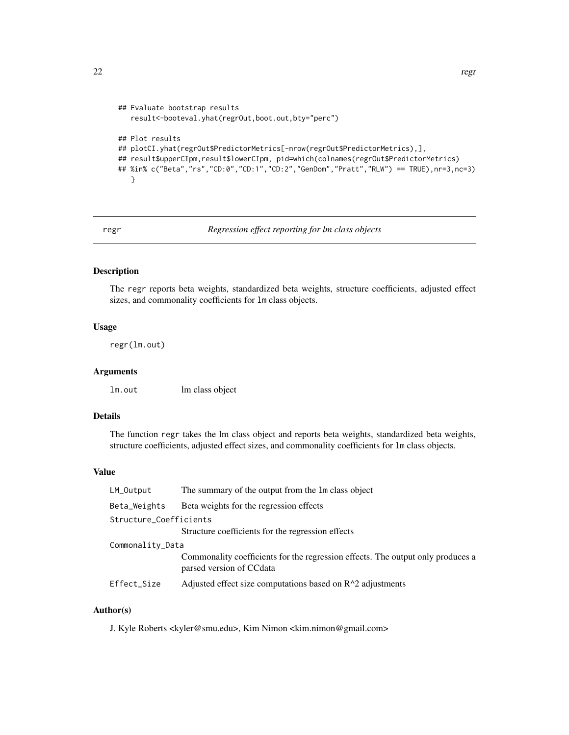```
## Evaluate bootstrap results
   result<-booteval.yhat(regrOut,boot.out,bty="perc")
## Plot results
## plotCI.yhat(regrOut$PredictorMetrics[-nrow(regrOut$PredictorMetrics),],
## result$upperCIpm,result$lowerCIpm, pid=which(colnames(regrOut$PredictorMetrics)
## %in% c("Beta","rs","CD:0","CD:1","CD:2","GenDom","Pratt","RLW") == TRUE),nr=3,nc=3)
   }
```
#### <span id="page-21-1"></span>regr *Regression effect reporting for lm class objects*

# Description

The regr reports beta weights, standardized beta weights, structure coefficients, adjusted effect sizes, and commonality coefficients for lm class objects.

# Usage

regr(lm.out)

#### Arguments

lm.out lm class object

#### Details

The function regr takes the lm class object and reports beta weights, standardized beta weights, structure coefficients, adjusted effect sizes, and commonality coefficients for lm class objects.

#### Value

| LM_Output              | The summary of the output from the 1m class object                                                          |
|------------------------|-------------------------------------------------------------------------------------------------------------|
| Beta_Weights           | Beta weights for the regression effects                                                                     |
| Structure_Coefficients |                                                                                                             |
|                        | Structure coefficients for the regression effects                                                           |
| Commonality_Data       |                                                                                                             |
|                        | Commonality coefficients for the regression effects. The output only produces a<br>parsed version of CCdata |
| Effect_Size            | Adjusted effect size computations based on $R^2$ adjustments                                                |
|                        |                                                                                                             |

## Author(s)

J. Kyle Roberts <kyler@smu.edu>, Kim Nimon <kim.nimon@gmail.com>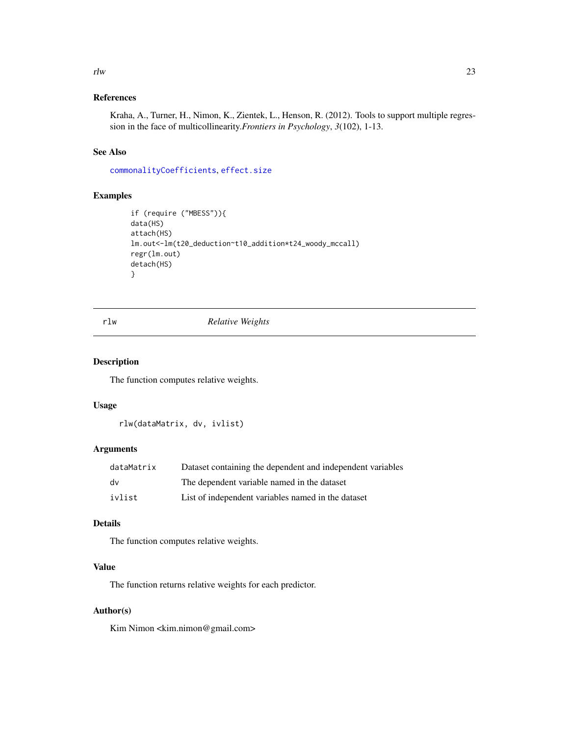#### <span id="page-22-0"></span> $r l w$  23

# References

Kraha, A., Turner, H., Nimon, K., Zientek, L., Henson, R. (2012). Tools to support multiple regression in the face of multicollinearity.*Frontiers in Psychology*, *3*(102), 1-13.

# See Also

[commonalityCoefficients](#page-13-1), [effect.size](#page-17-1)

# Examples

```
if (require ("MBESS")){
data(HS)
attach(HS)
lm.out<-lm(t20_deduction~t10_addition*t24_woody_mccall)
regr(lm.out)
detach(HS)
}
```
<span id="page-22-1"></span>rlw *Relative Weights*

# Description

The function computes relative weights.

# Usage

rlw(dataMatrix, dv, ivlist)

# Arguments

| dataMatrix | Dataset containing the dependent and independent variables |
|------------|------------------------------------------------------------|
| dv         | The dependent variable named in the dataset                |
| ivlist     | List of independent variables named in the dataset         |

# Details

The function computes relative weights.

# Value

The function returns relative weights for each predictor.

# Author(s)

Kim Nimon <kim.nimon@gmail.com>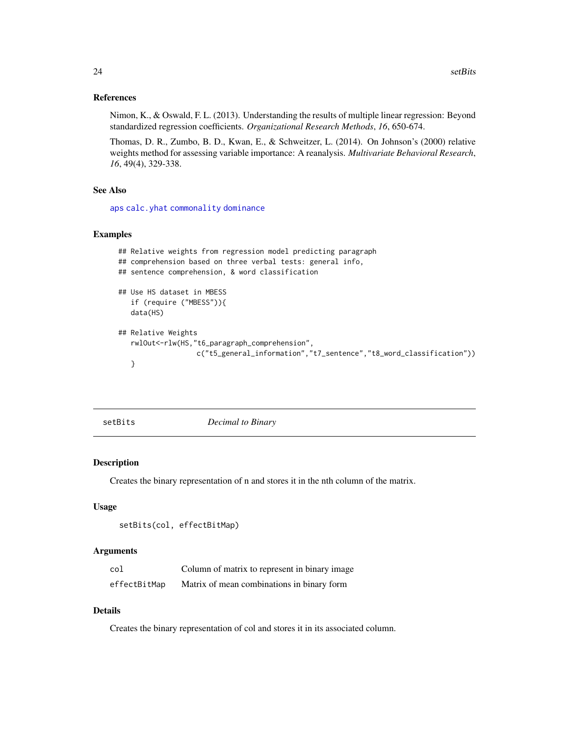#### <span id="page-23-0"></span>References

Nimon, K., & Oswald, F. L. (2013). Understanding the results of multiple linear regression: Beyond standardized regression coefficients. *Organizational Research Methods*, *16*, 650-674.

Thomas, D. R., Zumbo, B. D., Kwan, E., & Schweitzer, L. (2014). On Johnson's (2000) relative weights method for assessing variable importance: A reanalysis. *Multivariate Behavioral Research*, *16*, 49(4), 329-338.

#### See Also

[aps](#page-2-1) [calc.yhat](#page-6-1) [commonality](#page-12-1) [dominance](#page-16-1)

# Examples

```
## Relative weights from regression model predicting paragraph
## comprehension based on three verbal tests: general info,
## sentence comprehension, & word classification
## Use HS dataset in MBESS
   if (require ("MBESS")){
   data(HS)
## Relative Weights
   rwlOut<-rlw(HS,"t6_paragraph_comprehension",
                  c("t5_general_information","t7_sentence","t8_word_classification"))
   }
```
<span id="page-23-1"></span>setBits *Decimal to Binary*

#### Description

Creates the binary representation of n and stores it in the nth column of the matrix.

#### Usage

```
setBits(col, effectBitMap)
```
#### Arguments

| col          | Column of matrix to represent in binary image |
|--------------|-----------------------------------------------|
| effectBitMap | Matrix of mean combinations in binary form    |

## Details

Creates the binary representation of col and stores it in its associated column.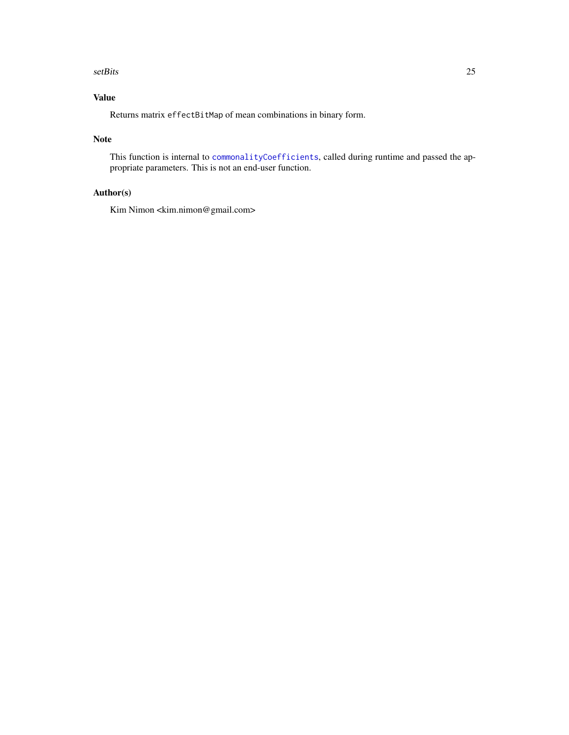#### <span id="page-24-0"></span>setBits 25

# Value

Returns matrix effectBitMap of mean combinations in binary form.

### Note

This function is internal to [commonalityCoefficients](#page-13-1), called during runtime and passed the appropriate parameters. This is not an end-user function.

# Author(s)

Kim Nimon <kim.nimon@gmail.com>